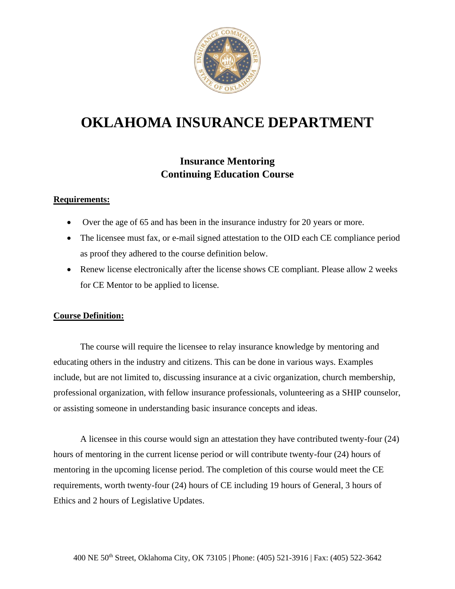

## **OKLAHOMA INSURANCE DEPARTMENT**

### **Insurance Mentoring Continuing Education Course**

#### **Requirements:**

- Over the age of 65 and has been in the insurance industry for 20 years or more.
- The licensee must fax, or e-mail signed attestation to the OID each CE compliance period as proof they adhered to the course definition below.
- Renew license electronically after the license shows CE compliant. Please allow 2 weeks for CE Mentor to be applied to license.

#### **Course Definition:**

The course will require the licensee to relay insurance knowledge by mentoring and educating others in the industry and citizens. This can be done in various ways. Examples include, but are not limited to, discussing insurance at a civic organization, church membership, professional organization, with fellow insurance professionals, volunteering as a SHIP counselor, or assisting someone in understanding basic insurance concepts and ideas.

A licensee in this course would sign an attestation they have contributed twenty-four (24) hours of mentoring in the current license period or will contribute twenty-four (24) hours of mentoring in the upcoming license period. The completion of this course would meet the CE requirements, worth twenty-four (24) hours of CE including 19 hours of General, 3 hours of Ethics and 2 hours of Legislative Updates.